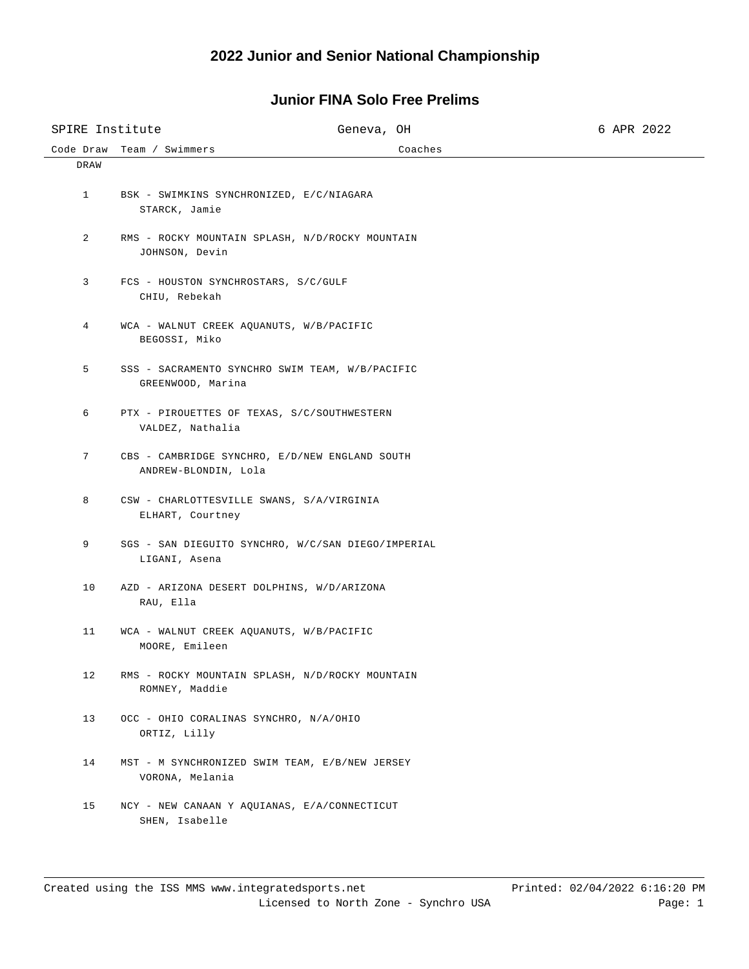| SPIRE Institute |                                                            | Geneva, OH                                         |         | 6 APR 2022 |
|-----------------|------------------------------------------------------------|----------------------------------------------------|---------|------------|
| Code Draw       | Team / Swimmers                                            |                                                    | Coaches |            |
| DRAW            |                                                            |                                                    |         |            |
| $\mathbf{1}$    | BSK - SWIMKINS SYNCHRONIZED, E/C/NIAGARA<br>STARCK, Jamie  |                                                    |         |            |
| 2               | JOHNSON, Devin                                             | RMS - ROCKY MOUNTAIN SPLASH, N/D/ROCKY MOUNTAIN    |         |            |
| 3               | FCS - HOUSTON SYNCHROSTARS, S/C/GULF<br>CHIU, Rebekah      |                                                    |         |            |
| 4               | WCA - WALNUT CREEK AQUANUTS, W/B/PACIFIC<br>BEGOSSI, Miko  |                                                    |         |            |
| 5               | GREENWOOD, Marina                                          | SSS - SACRAMENTO SYNCHRO SWIM TEAM, W/B/PACIFIC    |         |            |
| 6               | VALDEZ, Nathalia                                           | PTX - PIROUETTES OF TEXAS, S/C/SOUTHWESTERN        |         |            |
| 7               | ANDREW-BLONDIN, Lola                                       | CBS - CAMBRIDGE SYNCHRO, E/D/NEW ENGLAND SOUTH     |         |            |
| 8               | ELHART, Courtney                                           | CSW - CHARLOTTESVILLE SWANS, S/A/VIRGINIA          |         |            |
| 9               | LIGANI, Asena                                              | SGS - SAN DIEGUITO SYNCHRO, W/C/SAN DIEGO/IMPERIAL |         |            |
| 10              | RAU, Ella                                                  | AZD - ARIZONA DESERT DOLPHINS, W/D/ARIZONA         |         |            |
| 11              | WCA - WALNUT CREEK AQUANUTS, W/B/PACIFIC<br>MOORE, Emileen |                                                    |         |            |
| 12              | ROMNEY, Maddie                                             | RMS - ROCKY MOUNTAIN SPLASH, N/D/ROCKY MOUNTAIN    |         |            |
| 13              | OCC - OHIO CORALINAS SYNCHRO, N/A/OHIO<br>ORTIZ, Lilly     |                                                    |         |            |
| 14              | VORONA, Melania                                            | MST - M SYNCHRONIZED SWIM TEAM, E/B/NEW JERSEY     |         |            |
| 15              | SHEN, Isabelle                                             | NCY - NEW CANAAN Y AQUIANAS, E/A/CONNECTICUT       |         |            |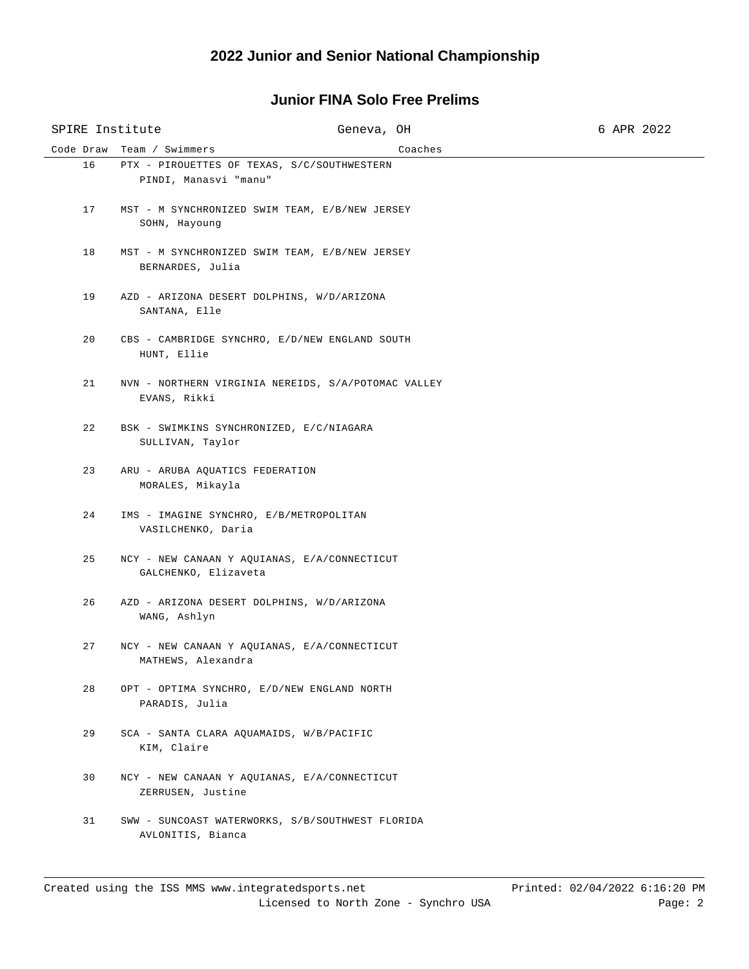## **Junior FINA Solo Free Prelims**

| SPIRE Institute |                                                               | Geneva, OH                                          |         | 6 APR 2022 |
|-----------------|---------------------------------------------------------------|-----------------------------------------------------|---------|------------|
|                 | Code Draw Team / Swimmers                                     |                                                     | Coaches |            |
| 16              | PINDI, Manasvi "manu"                                         | PTX - PIROUETTES OF TEXAS, S/C/SOUTHWESTERN         |         |            |
| 17              | SOHN, Hayoung                                                 | MST - M SYNCHRONIZED SWIM TEAM, E/B/NEW JERSEY      |         |            |
| 18              | BERNARDES, Julia                                              | MST - M SYNCHRONIZED SWIM TEAM, E/B/NEW JERSEY      |         |            |
| 19              | SANTANA, Elle                                                 | AZD - ARIZONA DESERT DOLPHINS, W/D/ARIZONA          |         |            |
| 20              | HUNT, Ellie                                                   | CBS - CAMBRIDGE SYNCHRO, E/D/NEW ENGLAND SOUTH      |         |            |
| 21              | EVANS, Rikki                                                  | NVN - NORTHERN VIRGINIA NEREIDS, S/A/POTOMAC VALLEY |         |            |
| 22              | BSK - SWIMKINS SYNCHRONIZED, E/C/NIAGARA<br>SULLIVAN, Taylor  |                                                     |         |            |
| 23              | ARU - ARUBA AQUATICS FEDERATION<br>MORALES, Mikayla           |                                                     |         |            |
| 24              | IMS - IMAGINE SYNCHRO, E/B/METROPOLITAN<br>VASILCHENKO, Daria |                                                     |         |            |
| 25              | GALCHENKO, Elizaveta                                          | NCY - NEW CANAAN Y AQUIANAS, E/A/CONNECTICUT        |         |            |
| 26              | WANG, Ashlyn                                                  | AZD - ARIZONA DESERT DOLPHINS, W/D/ARIZONA          |         |            |
| 27              | MATHEWS, Alexandra                                            | NCY - NEW CANAAN Y AQUIANAS, E/A/CONNECTICUT        |         |            |
| 28              | PARADIS, Julia                                                | OPT - OPTIMA SYNCHRO, E/D/NEW ENGLAND NORTH         |         |            |
| 29              | SCA - SANTA CLARA AQUAMAIDS, W/B/PACIFIC<br>KIM, Claire       |                                                     |         |            |
| 30              | ZERRUSEN, Justine                                             | NCY - NEW CANAAN Y AQUIANAS, E/A/CONNECTICUT        |         |            |
| 31              | AVLONITIS, Bianca                                             | SWW - SUNCOAST WATERWORKS, S/B/SOUTHWEST FLORIDA    |         |            |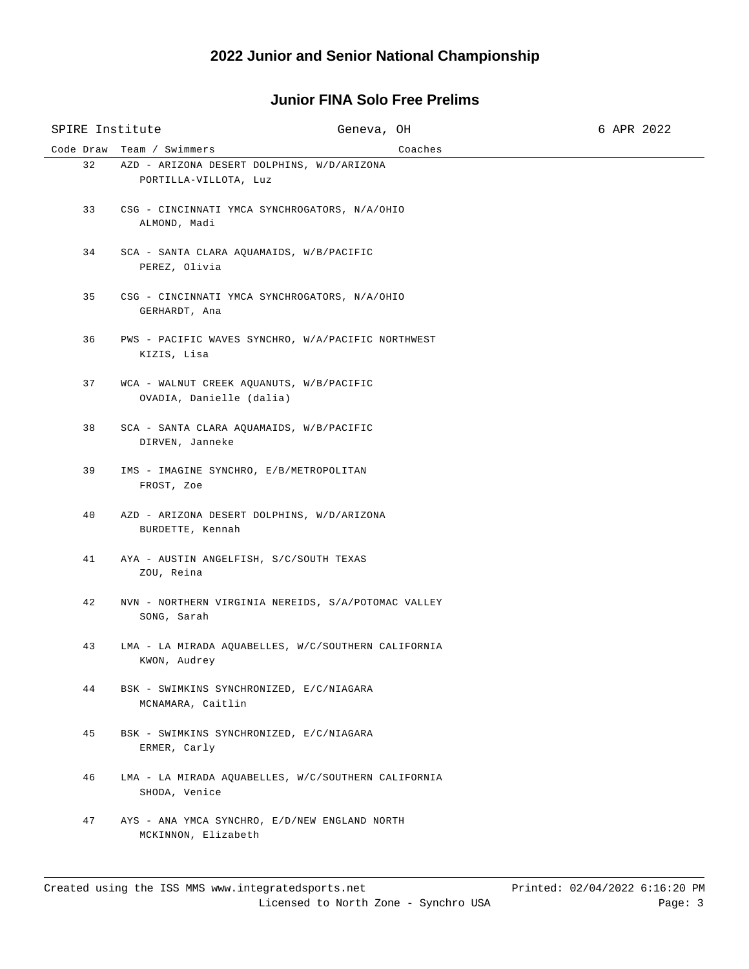## **Junior FINA Solo Free Prelims**

| SPIRE Institute |                                                                      | Geneva, OH | 6 APR 2022 |
|-----------------|----------------------------------------------------------------------|------------|------------|
|                 | Code Draw Team / Swimmers                                            | Coaches    |            |
| 32              | AZD - ARIZONA DESERT DOLPHINS, W/D/ARIZONA<br>PORTILLA-VILLOTA, Luz  |            |            |
| 33              | CSG - CINCINNATI YMCA SYNCHROGATORS, N/A/OHIO<br>ALMOND, Madi        |            |            |
| 34              | SCA - SANTA CLARA AQUAMAIDS, W/B/PACIFIC<br>PEREZ, Olivia            |            |            |
| 35              | CSG - CINCINNATI YMCA SYNCHROGATORS, N/A/OHIO<br>GERHARDT, Ana       |            |            |
| 36              | PWS - PACIFIC WAVES SYNCHRO, W/A/PACIFIC NORTHWEST<br>KIZIS, Lisa    |            |            |
| 37              | WCA - WALNUT CREEK AQUANUTS, W/B/PACIFIC<br>OVADIA, Danielle (dalia) |            |            |
| 38              | SCA - SANTA CLARA AQUAMAIDS, W/B/PACIFIC<br>DIRVEN, Janneke          |            |            |
| 39              | IMS - IMAGINE SYNCHRO, E/B/METROPOLITAN<br>FROST, Zoe                |            |            |
| 40              | AZD - ARIZONA DESERT DOLPHINS, W/D/ARIZONA<br>BURDETTE, Kennah       |            |            |
| 41              | AYA - AUSTIN ANGELFISH, S/C/SOUTH TEXAS<br>ZOU, Reina                |            |            |
| 42              | NVN - NORTHERN VIRGINIA NEREIDS, S/A/POTOMAC VALLEY<br>SONG, Sarah   |            |            |
| 43              | LMA - LA MIRADA AQUABELLES, W/C/SOUTHERN CALIFORNIA<br>KWON, Audrey  |            |            |
| 44              | BSK - SWIMKINS SYNCHRONIZED, E/C/NIAGARA<br>MCNAMARA, Caitlin        |            |            |
| 45              | BSK - SWIMKINS SYNCHRONIZED, E/C/NIAGARA<br>ERMER, Carly             |            |            |
| 46              | LMA - LA MIRADA AQUABELLES, W/C/SOUTHERN CALIFORNIA<br>SHODA, Venice |            |            |
| 47              | AYS - ANA YMCA SYNCHRO, E/D/NEW ENGLAND NORTH<br>MCKINNON, Elizabeth |            |            |